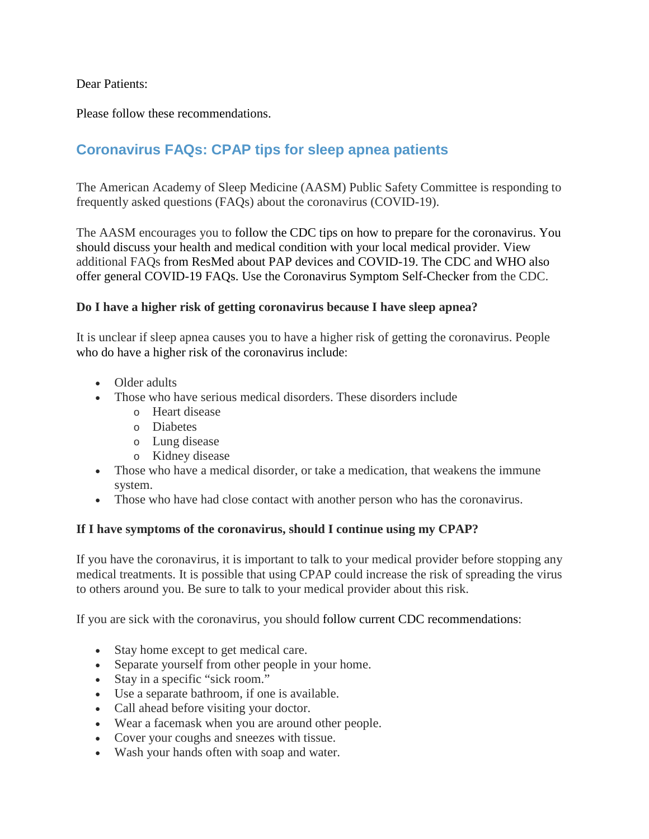# Dear Patients:

Please follow these recommendations.

# **Coronavirus FAQs: CPAP tips for sleep apnea patients**

The American Academy of Sleep Medicine (AASM) Public Safety Committee is responding to frequently asked questions (FAQs) about the coronavirus (COVID-19).

The AASM encourages you to follow the [CDC tips on how to prepare for the coronavirus.](https://www.cdc.gov/coronavirus/2019-ncov/prepare/index.html) You should discuss your health and medical condition with your local medical provider. View additional FAQs from [ResMed](https://www.resmed.com/en-us/covid-19/) about PAP devices and COVID-19. The [CDC](https://www.cdc.gov/coronavirus/2019-ncov/faq.html) and [WHO](https://www.who.int/news-room/q-a-detail/q-a-coronaviruses) also offer general COVID-19 FAQs. Use the [Coronavirus Symptom Self-Checker](https://www.cdc.gov/coronavirus/2019-ncov/symptoms-testing/index.html) from the CDC.

# **Do I have a higher risk of getting coronavirus because I have sleep apnea?**

It is unclear if sleep apnea causes you to have a higher risk of getting the coronavirus. People who do have a [higher risk of the coronavirus](https://www.cdc.gov/coronavirus/2019-ncov/specific-groups/high-risk-complications.html) include:

- Older adults
- Those who have serious medical disorders. These disorders include
	- o Heart disease
	- o Diabetes
	- o Lung disease
	- o Kidney disease
- Those who have a medical disorder, or take a medication, that weakens the immune system.
- Those who have had close contact with another person who has the coronavirus.

## **If I have symptoms of the coronavirus, should I continue using my CPAP?**

If you have the coronavirus, it is important to talk to your medical provider before stopping any medical treatments. It is possible that using CPAP could increase the risk of spreading the virus to others around you. Be sure to talk to your medical provider about this risk.

If you are sick with the coronavirus, you should follow current [CDC recommendations:](https://www.cdc.gov/coronavirus/2019-ncov/if-you-are-sick/steps-when-sick.html)

- Stay home except to get medical care.
- Separate yourself from other people in your home.
- Stay in a specific "sick room."
- Use a separate bathroom, if one is available.
- Call ahead before visiting your doctor.
- Wear a facemask when you are around other people.
- Cover your coughs and sneezes with tissue.
- Wash your hands often with soap and water.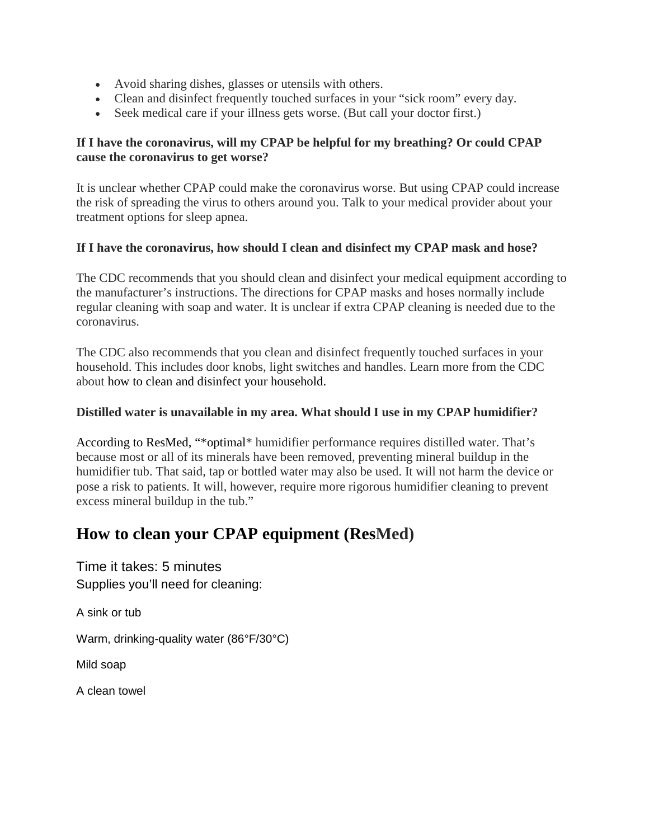- Avoid sharing dishes, glasses or utensils with others.
- Clean and disinfect frequently touched surfaces in your "sick room" every day.
- Seek medical care if your illness gets worse. (But call your doctor first.)

# **If I have the coronavirus, will my CPAP be helpful for my breathing? Or could CPAP cause the coronavirus to get worse?**

It is unclear whether CPAP could make the coronavirus worse. But using CPAP could increase the risk of spreading the virus to others around you. Talk to your medical provider about your treatment options for sleep apnea.

## **If I have the coronavirus, how should I clean and disinfect my CPAP mask and hose?**

The CDC recommends that you should clean and disinfect your medical equipment according to the manufacturer's instructions. The directions for CPAP masks and hoses normally include regular cleaning with soap and water. It is unclear if extra CPAP cleaning is needed due to the coronavirus.

The CDC also recommends that you clean and disinfect frequently touched surfaces in your household. This includes door knobs, light switches and handles. Learn more from the CDC about how to [clean and disinfect your household.](https://www.cdc.gov/coronavirus/2019-ncov/prepare/cleaning-disinfection.html)

## **Distilled water is unavailable in my area. What should I use in my CPAP humidifier?**

According to [ResMed,](https://www.resmed.com/en-us/covid-19/) "\*optimal\* humidifier performance requires distilled water. That's because most or all of its minerals have been removed, preventing mineral buildup in the humidifier tub. That said, tap or bottled water may also be used. It will not harm the device or pose a risk to patients. It will, however, require more rigorous humidifier cleaning to prevent excess mineral buildup in the tub."

# **[How to clean your CPAP equipment](https://www.resmed.com/en-us/sleep-apnea/cpap-parts-support/cleaning-cpap-equipment/) (ResMed)**

Time it takes: 5 minutes Supplies you'll need for cleaning:

A sink or tub

Warm, drinking-quality water (86°F/30°C)

Mild soap

A clean towel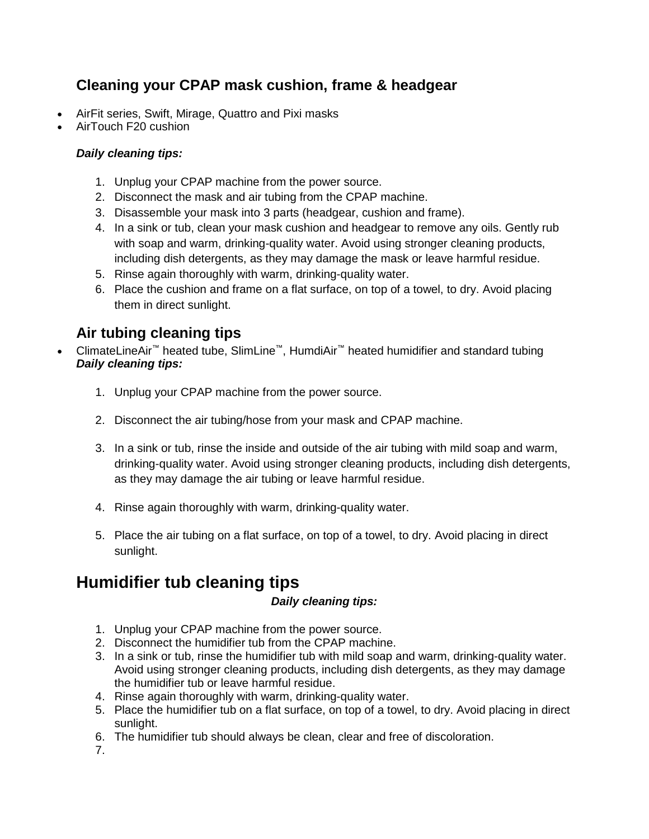# **Cleaning your CPAP mask cushion, frame & headgear**

- AirFit series, Swift, Mirage, Quattro and Pixi masks
- AirTouch F20 cushion

# *Daily cleaning tips:*

- 1. Unplug your CPAP machine from the power source.
- 2. Disconnect the mask and air tubing from the CPAP machine.
- 3. Disassemble your mask into 3 parts (headgear, cushion and frame).
- 4. In a sink or tub, clean your mask cushion and headgear to remove any oils. Gently rub with soap and warm, drinking-quality water. Avoid using stronger cleaning products, including dish detergents, as they may damage the mask or leave harmful residue.
- 5. Rinse again thoroughly with warm, drinking-quality water.
- 6. Place the cushion and frame on a flat surface, on top of a towel, to dry. Avoid placing them in direct sunlight.

# **Air tubing cleaning tips**

- ClimateLineAir™ heated tube, SlimLine™, HumdiAir™ heated humidifier and standard tubing *Daily cleaning tips:*
	- 1. Unplug your CPAP machine from the power source.
	- 2. Disconnect the air tubing/hose from your mask and CPAP machine.
	- 3. In a sink or tub, rinse the inside and outside of the air tubing with mild soap and warm, drinking-quality water. Avoid using stronger cleaning products, including dish detergents, as they may damage the air tubing or leave harmful residue.
	- 4. Rinse again thoroughly with warm, drinking-quality water.
	- 5. Place the air tubing on a flat surface, on top of a towel, to dry. Avoid placing in direct sunlight.

# **Humidifier tub cleaning tips**

# *Daily cleaning tips:*

- 1. Unplug your CPAP machine from the power source.
- 2. Disconnect the humidifier tub from the CPAP machine.
- 3. In a sink or tub, rinse the humidifier tub with mild soap and warm, drinking-quality water. Avoid using stronger cleaning products, including dish detergents, as they may damage the humidifier tub or leave harmful residue.
- 4. Rinse again thoroughly with warm, drinking-quality water.
- 5. Place the humidifier tub on a flat surface, on top of a towel, to dry. Avoid placing in direct sunlight.
- 6. The humidifier tub should always be clean, clear and free of discoloration.

7.